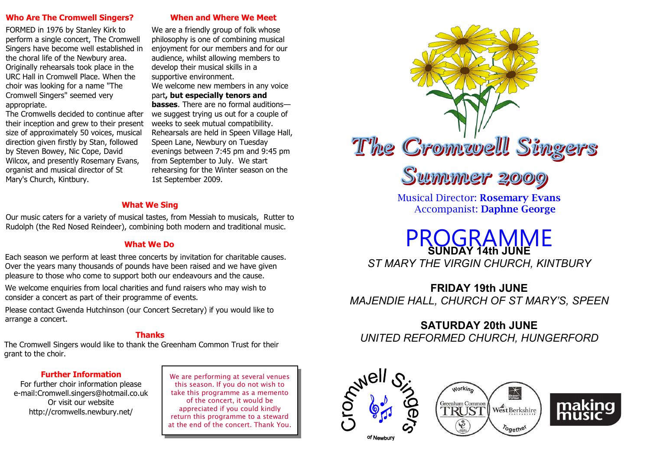#### **Who Are The Cromwell Singers?**

FORMED in 1976 by Stanley Kirk to perform a single concert, The Cromwell Singers have become well established in the choral life of the Newbury area. Originally rehearsals took place in the URC Hall in Cromwell Place. When the choir was looking for a name "The Cromwell Singers" seemed very appropriate.

The Cromwells decided to continue after their inception and grew to their present size of approximately 50 voices, musical direction given firstly by Stan, followed by Steven Bowey, Nic Cope, David Wilcox, and presently Rosemary Evans, organist and musical director of St Mary's Church, Kintbury.

**When and Where We Meet**

We are a friendly group of folk whose philosophy is one of combining musical enjoyment for our members and for our audience, whilst allowing members to develop their musical skills in a supportive environment.

We welcome new members in any voice part**, but especially tenors and basses**. There are no formal auditions—

we suggest trying us out for a couple of weeks to seek mutual compatibility. Rehearsals are held in Speen Village Hall, Speen Lane, Newbury on Tuesday evenings between 7:45 pm and 9:45 pm from September to July. We start rehearsing for the Winter season on the 1st September 2009.

### **What We Sing**

Our music caters for a variety of musical tastes, from Messiah to musicals, Rutter to Rudolph (the Red Nosed Reindeer), combining both modern and traditional music.

### **What We Do**

Each season we perform at least three concerts by invitation for charitable causes. Over the years many thousands of pounds have been raised and we have given pleasure to those who come to support both our endeavours and the cause.

We welcome enquiries from local charities and fund raisers who may wish to consider a concert as part of their programme of events.

Please contact Gwenda Hutchinson (our Concert Secretary) if you would like to arrange a concert.

### **Thanks**

The Cromwell Singers would like to thank the Greenham Common Trust for their grant to the choir.

### **Further Information**

For further choir information please e-mail:Cromwell.singers@hotmail.co.uk Or visit our website http://cromwells.newbury.net/

We are performing at several venues this season. If you do not wish to take this programme as a memento of the concert, it would be appreciated if you could kindly return this programme to a steward at the end of the concert. Thank You.



Musical Director: **Rosemary Evans** Accompanist: **Daphne George**

PROGRAMME **SUNDAY 14th JUNE** *ST MARY THE VIRGIN CHURCH, KINTBURY* 

**FRIDAY 19th JUNE** *MAJENDIE HALL, CHURCH OF ST MARY'S, SPEEN*

## **SATURDAY 20th JUNE**

*UNITED REFORMED CHURCH, HUNGERFORD*







of Newbury